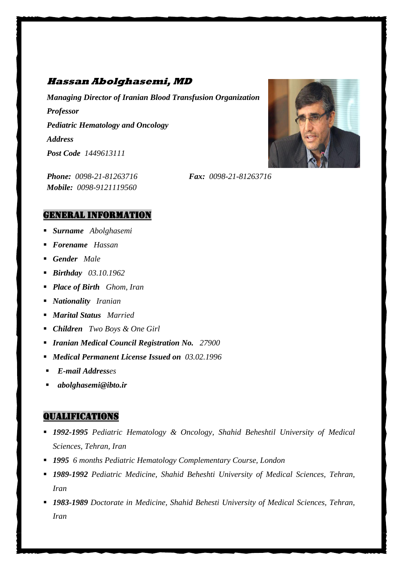# **Hassan Abolghasemi, MD**

*Managing Director of Iranian Blood Transfusion Organization Professor Pediatric Hematology and Oncology Address Post Code 1449613111*

*Phone: 0098-21-81263716 Fax: 0098-21-81263716 Mobile: 0098-9121119560*



- *Surname Abolghasemi*
- *Forename Hassan*
- *Gender Male*
- *Birthday 03.10.1962*
- *Place of Birth Ghom, Iran*
- *Nationality Iranian*
- *Marital Status Married*
- *Children Two Boys & One Girl*
- *Iranian Medical Council Registration No. 27900*
- *Medical Permanent License Issued on 03.02.1996*
- *E-mail Addresses*
- *abolghasemi@ibto.ir*

## Qualifications

- *1992-1995 Pediatric Hematology & Oncology, Shahid Beheshtil University of Medical Sciences, Tehran, Iran*
- *1995 6 months Pediatric Hematology Complementary Course, London*
- *1989-1992 Pediatric Medicine, Shahid Beheshti University of Medical Sciences, Tehran, Iran*
- *1983-1989 Doctorate in Medicine, Shahid Behesti University of Medical Sciences, Tehran, Iran*

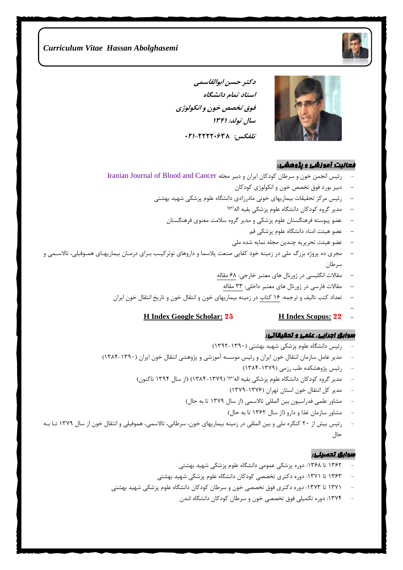

**دکتر حسن ابوالقاسمی استاد تمام دانشگاه فوق تخصص خون و انکولوژی سال تولد: 1341 تلفکس: ۰۲1-۲۲۲۲۰۶3۸**



#### فعالیت آموزشی و پژوهشی:

- رئیس انجمن خون و سرطان کودکان ایران و دبیر مجله [Cancer and Blood of Journal Iranian](http://ijbc.ir/)
	- **-** دبیر بورد فوق تخصص خون و انکولوژی کودکان
	- **-** رئیس مرکز تحقیقات بیماریهای خونی مادرزادی دانشگاه علوم پزشکی شهید بهشتی
		- **-** مدیر گروه کودکان دانشگاه علوم پزشکی بقیه اله )عج(
		- **-** عضو پیوسته فرهنگستان علوم پزشکی و مدیر گروه سالمت معنوی فرهنگستان
			- **-** عضو هیئت امناء دانشگاه علوم پزشکی قم
			- **-** عضو هیئت تحریریه چندین مجله نمایه شده ملی
- **-** مجری ده پروژه بزرگ ملی در زمینه خود کفایی صنعت پالسما و داروهای نوترکیب ببرای درمبان بیماریهبای همبوفیلی تاالسبمی و سرطان
	- **-** مقاالت انگلیسی در ژورنال های معتبر خارجی: 68 مقاله
		- **-** مقاالت فارسی در ژورنال های معتبر داخلی: 33 مقاله
	- **-** تعداد کت تالیف و ترجمه: 16 کتاب در زمینه بیماریهای خون و انتقال خون و تاریخ انتقال خون ایران
		- **- H Index Google Scholar:** <sup>25</sup> **H Index Scopus:** <sup>22</sup> **-**

#### سوابق اجرایی، علمی و تحقیقاتی:

- رئیس دانشگاه علوم پزشکی شهید بهشتی )1392-1390(
- مدیر عامل سازمان انتقال خون ایران و رئیس موسسه آموزشی و پژوهشی انتقال خون ایران )1384-1390(
	- رئیس پژوهشکده طب رزمی (۱۳۷۹-۱۳۸۴)
	- مدیر گروه کودکان دانشگاه علوم پزشکی بقیه اله )1384-1379( )از سال 1394 تاکنون( )عج(
		- مدیر کل انتقال خون استان تهران )1379-1376(
		- مشاور علمی فدراسیون بین المللی تالاسمی (از سال ۱۳۷۹ تا به حال)
			- مشاور سازمان غذا و دارو (از سال ۱۳۶۲ تا به حال)
- رئیس بیش از 20 کنگره ملی و بین المللی در زمینه بیماریهای خون سرطانی تاالسمی هموفیلی و انتقال خون از سال 1379 تبا ببه حال

#### سوابق تحصیلی:

- 1362 تا :1368 دوره پزشکی عمومی دانشگاه علوم پزشکی شهید بهشتی
- 1363 تا :1371 دوره دکتری تخصصی کودکان دانشگاه علوم پزشکی شهید بهشتی
- ۱۳۷۱ تا ۱۳۷۳: دوره دکتری فوق ت*خصصی* خون و سرطان کودکان دانشگاه علوم پزشکی شهید بهشتی
	- :1374 دوره تکمیلی فوق تخصصی خون و سرطان کودکان دانشگاه لندن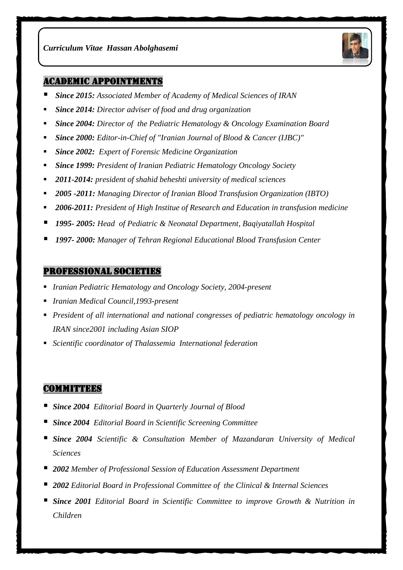

#### Academic Appointments

- *Since 2015: Associated Member of Academy of Medical Sciences of IRAN*
- *Since 2014: Director adviser of food and drug organization*
- *Since 2004: Director of the Pediatric Hematology & Oncology Examination Board*
- *Since 2000: Editor-in-Chief of "Iranian Journal of Blood & Cancer (IJBC)"*
- *Since 2002: Expert of Forensic Medicine Organization*
- *Since 1999: President of Iranian Pediatric Hematology Oncology Society*
- *2011-2014: president of shahid beheshti university of medical sciences*
- *2005 -2011: Managing Director of Iranian Blood Transfusion Organization (IBTO)*
- *2006-2011: President of High Institue of Research and Education in transfusion medicine*
- *1995- 2005: Head of Pediatric & Neonatal Department, Baqiyatallah Hospital*
- *1997- 2000: Manager of Tehran Regional Educational Blood Transfusion Center*

#### Professional Societies

- *Iranian Pediatric Hematology and Oncology Society, 2004-present*
- *Iranian Medical Council,1993-present*
- *President of all international and national congresses of pediatric hematology oncology in IRAN since2001 including Asian SIOP*
- *Scientific coordinator of Thalassemia International federation*

## **COMMITTEES**

- *Since 2004 Editorial Board in Quarterly Journal of Blood*
- *Since 2004 Editorial Board in Scientific Screening Committee*
- *Since 2004 Scientific & Consultation Member of Mazandaran University of Medical Sciences*
- *2002 Member of Professional Session of Education Assessment Department*
- *2002 Editorial Board in Professional Committee of the Clinical & Internal Sciences*
- *Since 2001 Editorial Board in Scientific Committee to improve Growth & Nutrition in Children*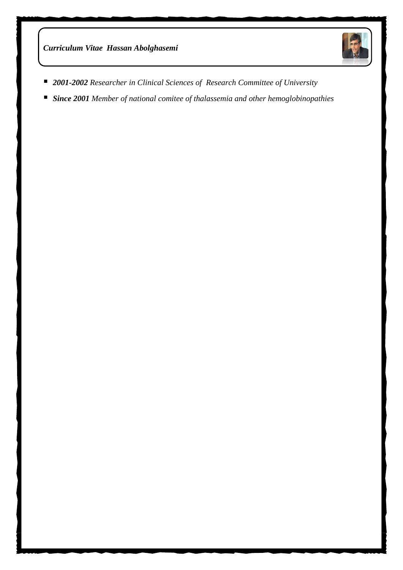

- *2001-2002 Researcher in Clinical Sciences of Research Committee of University*
- *Since 2001 Member of national comitee of thalassemia and other hemoglobinopathies*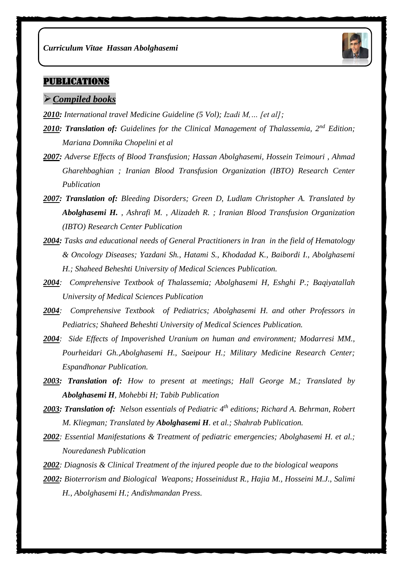

# **PUBLICATIONS**

#### *Compiled books*

- *2010: International travel Medicine Guideline (5 Vol); Izadi M,… [et al];*
- *2010: Translation of: Guidelines for the Clinical Management of Thalassemia, 2nd Edition; Mariana Domnika Chopelini et al*
- *2007: Adverse Effects of Blood Transfusion; Hassan Abolghasemi, Hossein Teimouri , Ahmad Gharehbaghian ; Iranian Blood Transfusion Organization (IBTO) Research Center Publication*
- *2007: Translation of: Bleeding Disorders; Green D, Ludlam Christopher A. Translated by Abolghasemi H. , Ashrafi M. , Alizadeh R. ; Iranian Blood Transfusion Organization (IBTO) Research Center Publication*
- *2004: Tasks and educational needs of General Practitioners in Iran in the field of Hematology & Oncology Diseases; Yazdani Sh., Hatami S., Khodadad K., Baibordi I., Abolghasemi H.; Shaheed Beheshti University of Medical Sciences Publication.*
- *2004: Comprehensive Textbook of Thalassemia; Abolghasemi H, Eshghi P.; Baqiyatallah University of Medical Sciences Publication*
- *2004: Comprehensive Textbook of Pediatrics; Abolghasemi H. and other Professors in Pediatrics; Shaheed Beheshti University of Medical Sciences Publication.*
- *2004: Side Effects of Impoverished Uranium on human and environment; Modarresi MM., Pourheidari Gh.,Abolghasemi H., Saeipour H.; Military Medicine Research Center; Espandhonar Publication.*
- *2003: Translation of: How to present at meetings; Hall George M.; Translated by Abolghasemi H, Mohebbi H; Tabib Publication*
- *2003: Translation of: Nelson essentials of Pediatric 4th editions; Richard A. Behrman, Robert M. Kliegman; Translated by Abolghasemi H. et al.; Shahrab Publication.*
- *2002: Essential Manifestations & Treatment of pediatric emergencies; Abolghasemi H. et al.; Nouredanesh Publication*
- *2002: Diagnosis & Clinical Treatment of the injured people due to the biological weapons*
- *2002: Bioterrorism and Biological Weapons; Hosseinidust R., Hajia M., Hosseini M.J., Salimi H., Abolghasemi H.; Andishmandan Press.*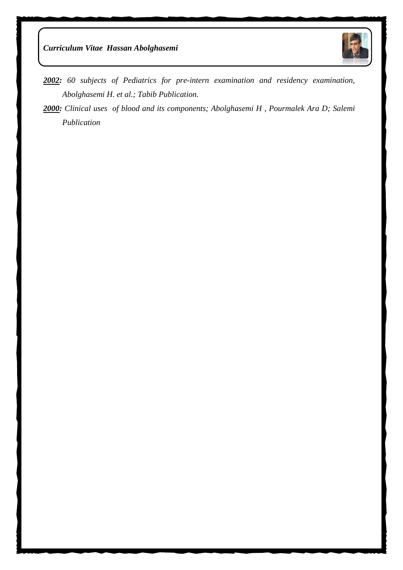



- *2002: 60 subjects of Pediatrics for pre-intern examination and residency examination, Abolghasemi H. et al.; Tabib Publication.*
- *2000: Clinical uses of blood and its components; Abolghasemi H , Pourmalek Ara D; Salemi Publication*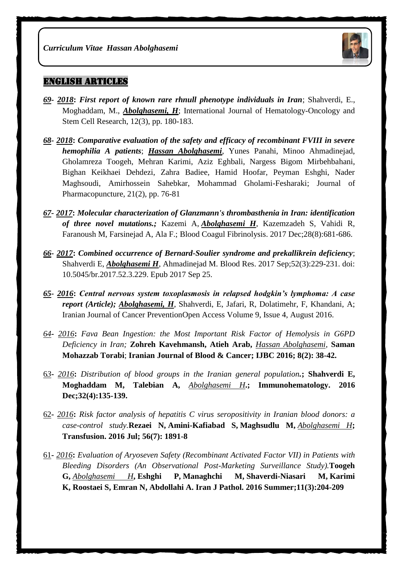

### English Articles

- *69- 2018***:** *First report of known rare rhnull phenotype individuals in Iran*; Shahverdi, E., Moghaddam, M., *Abolghasemi, H*; International Journal of Hematology-Oncology and Stem Cell Research, 12(3), pp. 180-183.
- *68- 2018***:** *Comparative evaluation of the safety and efficacy of recombinant FVIII in severe hemophilia A patients*; *Hassan Abolghasemi*, Yunes Panahi, Minoo Ahmadinejad, Gholamreza Toogeh, Mehran Karimi, Aziz Eghbali, Nargess Bigom Mirbehbahani, Bighan Keikhaei Dehdezi, Zahra Badiee, Hamid Hoofar, Peyman Eshghi, Nader Maghsoudi, Amirhossein Sahebkar, Mohammad Gholami-Fesharaki; Journal of Pharmacopuncture, 21(2), pp. 76-81
- *67- 2017***:** *[Molecular characterization of Glanzmann's thrombasthenia in Iran: identification](https://www.ncbi.nlm.nih.gov/pubmed/29084015)  [of three novel mutations.;](https://www.ncbi.nlm.nih.gov/pubmed/29084015)* Kazemi A, *Abolghasemi H*, Kazemzadeh S, Vahidi R, Faranoush M, Farsinejad A, Ala F.; Blood Coagul Fibrinolysis. 2017 Dec;28(8):681-686.
- *66- 2017***:** *[Combined occurrence of Bernard-Soulier syndrome and prekallikrein deficiency](https://www.ncbi.nlm.nih.gov/pubmed/29043243)*; Shahverdi E, *Abolghasemi H*, Ahmadinejad M. Blood Res. 2017 Sep;52(3):229-231. doi: 10.5045/br.2017.52.3.229. Epub 2017 Sep 25.
- *65- 2016***:** *Central nervous system toxoplasmosis in relapsed hodgkin's lymphoma: A case report (Article); [Abolghasemi,](https://www.scopus.com/authid/detail.uri?authorId=55880910800&eid=2-s2.0-84989245364) H*, [Shahverdi, E,](https://www.scopus.com/authid/detail.uri?authorId=56587921500&eid=2-s2.0-84989245364) [Jafari, R,](https://www.scopus.com/authid/detail.uri?authorId=57189664168&eid=2-s2.0-84989245364) [Dolatimehr, F,](https://www.scopus.com/authid/detail.uri?authorId=56913419600&eid=2-s2.0-84989245364) [Khandani, A;](https://www.scopus.com/authid/detail.uri?authorId=57191372462&eid=2-s2.0-84989245364)  [Iranian Journal of Cancer PreventionO](https://www.scopus.com/sourceid/19700175058?origin=recordpage)pen Access Volume 9, Issue 4, August 2016.
- *64***-** *2016***:** *Fava Bean Ingestion: the Most Important Risk Factor of Hemolysis in G6PD Deficiency in Iran;* **Zohreh Kavehmansh, Atieh Arab,** *Hassan Abolghasemi*, **Saman Mohazzab Torabi**; **Iranian Journal of Blood & Cancer; IJBC 2016; 8(2): 38-42.**
- 6*3***-** *2016***:** *[Distribution of blood groups in the Iranian general population](https://www.ncbi.nlm.nih.gov/pubmed/28257227).***; Shahverdi E, Moghaddam M, Talebian A,** *Abolghasemi H***.; Immunohematology. 2016 Dec;32(4):135-139.**
- 62**-** *2016***:** *Risk factor analysis of hepatitis C virus seropositivity in Iranian blood donors: a case-control study.***[Rezaei N,](https://www.ncbi.nlm.nih.gov/pubmed/?term=Rezaei%20N%5BAuthor%5D&cauthor=true&cauthor_uid=27273657) [Amini-Kafiabad S,](https://www.ncbi.nlm.nih.gov/pubmed/?term=Amini-Kafiabad%20S%5BAuthor%5D&cauthor=true&cauthor_uid=27273657) [Maghsudlu M,](https://www.ncbi.nlm.nih.gov/pubmed/?term=Maghsudlu%20M%5BAuthor%5D&cauthor=true&cauthor_uid=27273657)** *[Abolghasemi H](https://www.ncbi.nlm.nih.gov/pubmed/?term=Abolghasemi%20H%5BAuthor%5D&cauthor=true&cauthor_uid=27273657)***; [Transfusion.](https://www.ncbi.nlm.nih.gov/pubmed/27273657) 2016 Jul; 56(7): 1891-8**
- 61**-** *2016***:** *Evaluation of Aryoseven Safety (Recombinant Activated Factor VII) in Patients with Bleeding Disorders (An Observational Post-Marketing Surveillance Study).***[Toogeh](https://www.ncbi.nlm.nih.gov/pubmed/?term=Toogeh%20G%5BAuthor%5D&cauthor=true&cauthor_uid=27799968)  [G,](https://www.ncbi.nlm.nih.gov/pubmed/?term=Toogeh%20G%5BAuthor%5D&cauthor=true&cauthor_uid=27799968)** *[Abolghasemi H](https://www.ncbi.nlm.nih.gov/pubmed/?term=Abolghasemi%20H%5BAuthor%5D&cauthor=true&cauthor_uid=27799968)***, [Eshghi P,](https://www.ncbi.nlm.nih.gov/pubmed/?term=Eshghi%20P%5BAuthor%5D&cauthor=true&cauthor_uid=27799968) [Managhchi M,](https://www.ncbi.nlm.nih.gov/pubmed/?term=Managhchi%20M%5BAuthor%5D&cauthor=true&cauthor_uid=27799968) [Shaverdi-Niasari M,](https://www.ncbi.nlm.nih.gov/pubmed/?term=Shaverdi-Niasari%20M%5BAuthor%5D&cauthor=true&cauthor_uid=27799968) [Karimi](https://www.ncbi.nlm.nih.gov/pubmed/?term=Karimi%20K%5BAuthor%5D&cauthor=true&cauthor_uid=27799968)  [K,](https://www.ncbi.nlm.nih.gov/pubmed/?term=Karimi%20K%5BAuthor%5D&cauthor=true&cauthor_uid=27799968) [Roostaei S,](https://www.ncbi.nlm.nih.gov/pubmed/?term=Roostaei%20S%5BAuthor%5D&cauthor=true&cauthor_uid=27799968) [Emran N,](https://www.ncbi.nlm.nih.gov/pubmed/?term=Emran%20N%5BAuthor%5D&cauthor=true&cauthor_uid=27799968) [Abdollahi A.](https://www.ncbi.nlm.nih.gov/pubmed/?term=Abdollahi%20A%5BAuthor%5D&cauthor=true&cauthor_uid=27799968) [Iran J Pathol.](https://www.ncbi.nlm.nih.gov/pubmed/27799968) 2016 Summer;11(3):204-209**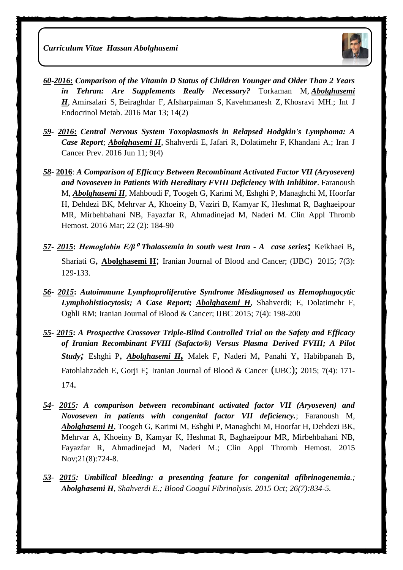

- *60***-***2016***:** *Comparison of the Vitamin D Status of Children Younger and Older Than 2 Years in Tehran: Are Supplements Really Necessary?* [Torkaman M,](https://www.ncbi.nlm.nih.gov/pubmed/?term=Torkaman%20M%5BAuthor%5D&cauthor=true&cauthor_uid=27679650) *[Abolghasemi](https://www.ncbi.nlm.nih.gov/pubmed/?term=Abolghasemi%20H%5BAuthor%5D&cauthor=true&cauthor_uid=27679650)  [H](https://www.ncbi.nlm.nih.gov/pubmed/?term=Abolghasemi%20H%5BAuthor%5D&cauthor=true&cauthor_uid=27679650)*, [Amirsalari S,](https://www.ncbi.nlm.nih.gov/pubmed/?term=Amirsalari%20S%5BAuthor%5D&cauthor=true&cauthor_uid=27679650) [Beiraghdar F,](https://www.ncbi.nlm.nih.gov/pubmed/?term=Beiraghdar%20F%5BAuthor%5D&cauthor=true&cauthor_uid=27679650) [Afsharpaiman S,](https://www.ncbi.nlm.nih.gov/pubmed/?term=Afsharpaiman%20S%5BAuthor%5D&cauthor=true&cauthor_uid=27679650) [Kavehmanesh Z,](https://www.ncbi.nlm.nih.gov/pubmed/?term=Kavehmanesh%20Z%5BAuthor%5D&cauthor=true&cauthor_uid=27679650) [Khosravi MH.](https://www.ncbi.nlm.nih.gov/pubmed/?term=Khosravi%20MH%5BAuthor%5D&cauthor=true&cauthor_uid=27679650); [Int J](https://www.ncbi.nlm.nih.gov/pubmed/27679650)  [Endocrinol Metab.](https://www.ncbi.nlm.nih.gov/pubmed/27679650) 2016 Mar 13; 14(2)
- *59- 2016***:** *Central Nervous System Toxoplasmosis in Relapsed Hodgkin's Lymphoma: A Case Report*; *[Abolghasemi H](https://www.ncbi.nlm.nih.gov/pubmed/?term=Abolghasemi%20H%5BAuthor%5D&cauthor=true&cauthor_uid=27822344)*, [Shahverdi E,](https://www.ncbi.nlm.nih.gov/pubmed/?term=Shahverdi%20E%5BAuthor%5D&cauthor=true&cauthor_uid=27822344) [Jafari R,](https://www.ncbi.nlm.nih.gov/pubmed/?term=Jafari%20R%5BAuthor%5D&cauthor=true&cauthor_uid=27822344) [Dolatimehr F,](https://www.ncbi.nlm.nih.gov/pubmed/?term=Dolatimehr%20F%5BAuthor%5D&cauthor=true&cauthor_uid=27822344) [Khandani A.](https://www.ncbi.nlm.nih.gov/pubmed/?term=Khandani%20A%5BAuthor%5D&cauthor=true&cauthor_uid=27822344); [Iran J](https://www.ncbi.nlm.nih.gov/pubmed/27822344)  [Cancer Prev.](https://www.ncbi.nlm.nih.gov/pubmed/27822344) 2016 Jun 11; 9(4)
- *58* **2016**: *A Comparison of Efficacy Between Recombinant Activated Factor VII (Aryoseven) and Novoseven in Patients With Hereditary FVIII Deficiency With Inhibitor*. [Faranoush](http://www.ncbi.nlm.nih.gov/pubmed/?term=Faranoush%20M%5BAuthor%5D&cauthor=true&cauthor_uid=25343955)  [M,](http://www.ncbi.nlm.nih.gov/pubmed/?term=Faranoush%20M%5BAuthor%5D&cauthor=true&cauthor_uid=25343955) *[Abolghasemi H](http://www.ncbi.nlm.nih.gov/pubmed/?term=Abolghasemi%20H%5BAuthor%5D&cauthor=true&cauthor_uid=25343955)*, [Mahboudi F,](http://www.ncbi.nlm.nih.gov/pubmed/?term=Mahboudi%20F%5BAuthor%5D&cauthor=true&cauthor_uid=25343955) [Toogeh G,](http://www.ncbi.nlm.nih.gov/pubmed/?term=Toogeh%20G%5BAuthor%5D&cauthor=true&cauthor_uid=25343955) [Karimi M,](http://www.ncbi.nlm.nih.gov/pubmed/?term=Karimi%20M%5BAuthor%5D&cauthor=true&cauthor_uid=25343955) [Eshghi P,](http://www.ncbi.nlm.nih.gov/pubmed/?term=Eshghi%20P%5BAuthor%5D&cauthor=true&cauthor_uid=25343955) [Managhchi M,](http://www.ncbi.nlm.nih.gov/pubmed/?term=Managhchi%20M%5BAuthor%5D&cauthor=true&cauthor_uid=25343955) [Hoorfar](http://www.ncbi.nlm.nih.gov/pubmed/?term=Hoorfar%20H%5BAuthor%5D&cauthor=true&cauthor_uid=25343955)  [H,](http://www.ncbi.nlm.nih.gov/pubmed/?term=Hoorfar%20H%5BAuthor%5D&cauthor=true&cauthor_uid=25343955) [Dehdezi BK,](http://www.ncbi.nlm.nih.gov/pubmed/?term=Dehdezi%20BK%5BAuthor%5D&cauthor=true&cauthor_uid=25343955) [Mehrvar A,](http://www.ncbi.nlm.nih.gov/pubmed/?term=Mehrvar%20A%5BAuthor%5D&cauthor=true&cauthor_uid=25343955) [Khoeiny B,](http://www.ncbi.nlm.nih.gov/pubmed/?term=Khoeiny%20B%5BAuthor%5D&cauthor=true&cauthor_uid=25343955) [Vaziri B,](http://www.ncbi.nlm.nih.gov/pubmed/?term=Vaziri%20B%5BAuthor%5D&cauthor=true&cauthor_uid=25343955) [Kamyar K,](http://www.ncbi.nlm.nih.gov/pubmed/?term=Kamyar%20K%5BAuthor%5D&cauthor=true&cauthor_uid=25343955) [Heshmat R,](http://www.ncbi.nlm.nih.gov/pubmed/?term=Heshmat%20R%5BAuthor%5D&cauthor=true&cauthor_uid=25343955) [Baghaeipour](http://www.ncbi.nlm.nih.gov/pubmed/?term=Baghaeipour%20MR%5BAuthor%5D&cauthor=true&cauthor_uid=25343955)  [MR,](http://www.ncbi.nlm.nih.gov/pubmed/?term=Baghaeipour%20MR%5BAuthor%5D&cauthor=true&cauthor_uid=25343955) [Mirbehbahani NB,](http://www.ncbi.nlm.nih.gov/pubmed/?term=Mirbehbahani%20NB%5BAuthor%5D&cauthor=true&cauthor_uid=25343955) [Fayazfar R,](http://www.ncbi.nlm.nih.gov/pubmed/?term=Fayazfar%20R%5BAuthor%5D&cauthor=true&cauthor_uid=25343955) [Ahmadinejad M,](http://www.ncbi.nlm.nih.gov/pubmed/?term=Ahmadinejad%20M%5BAuthor%5D&cauthor=true&cauthor_uid=25343955) [Naderi M.](http://www.ncbi.nlm.nih.gov/pubmed/?term=Naderi%20M%5BAuthor%5D&cauthor=true&cauthor_uid=25343955) [Clin Appl Thromb](http://www.ncbi.nlm.nih.gov/pubmed/25343955)  [Hemost.](http://www.ncbi.nlm.nih.gov/pubmed/25343955) 2016 Mar; 22 (2): 184-90
- *57***-** *2015***:** *Hemoglobin E/β*<sup>⁰</sup> *Thalassemia in south west Iran - A case series***;** Keikhaei B, Shariati G, **Abolghasemi H**; Iranian Journal of Blood and Cancer; (IJBC) 2015; 7(3): 129-133.
- *56***-** *2015***:** *Autoimmune Lymphoproliferative Syndrome Misdiagnosed as Hemophagocytic Lymphohistiocytosis; A Case Report; Abolghasemi H*, Shahverdi; E, Dolatimehr F, Oghli RM; Iranian Journal of Blood & Cancer; IJBC 2015; 7(4): 198-200
- *55***-** *2015***:** *A Prospective Crossover Triple-Blind Controlled Trial on the Safety and Efficacy of Iranian Recombinant FVIII (Safacto®) Versus Plasma Derived FVIII; A Pilot Study;* Eshghi P, *Abolghasemi H,* Malek F, Naderi M, Panahi Y, Habibpanah B, Fatohlahzadeh E, Gorji F; Iranian Journal of Blood & Cancer (IJBC); 2015; 7(4): 171- 174.
- *54- 2015: [A comparison between recombinant activated factor VII \(Aryoseven\) and](https://www.ncbi.nlm.nih.gov/pubmed/24651301)  [Novoseven in patients with congenital factor VII deficiency.](https://www.ncbi.nlm.nih.gov/pubmed/24651301)*; Faranoush M, *Abolghasemi H*, Toogeh G, Karimi M, Eshghi P, Managhchi M, Hoorfar H, Dehdezi BK, Mehrvar A, Khoeiny B, Kamyar K, Heshmat R, Baghaeipour MR, Mirbehbahani NB, Fayazfar R, Ahmadinejad M, Naderi M.; Clin Appl Thromb Hemost. 2015 Nov;21(8):724-8.
- *53- 2015: [Umbilical bleeding: a presenting feature for congenital afibrinogenemia](http://www.ncbi.nlm.nih.gov/pubmed/26407137).; Abolghasemi H, Shahverdi E.; Blood Coagul Fibrinolysis. 2015 Oct; 26(7):834-5.*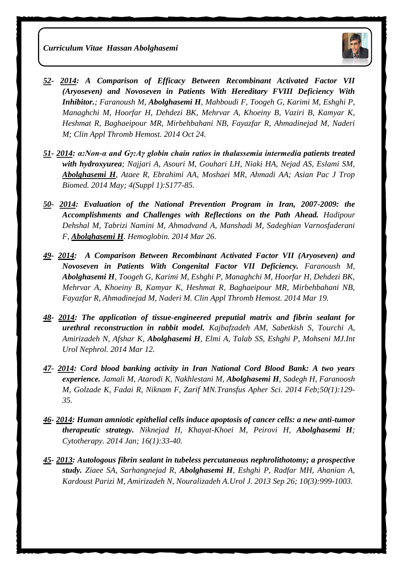

- *52- 2014: [A Comparison of Efficacy Between Recombinant Activated Factor VII](http://www.ncbi.nlm.nih.gov/pubmed/25343955)  [\(Aryoseven\) and Novoseven in Patients With Hereditary FVIII Deficiency With](http://www.ncbi.nlm.nih.gov/pubmed/25343955)  [Inhibitor.](http://www.ncbi.nlm.nih.gov/pubmed/25343955); Faranoush M, Abolghasemi H, Mahboudi F, Toogeh G, Karimi M, Eshghi P, Managhchi M, Hoorfar H, Dehdezi BK, Mehrvar A, Khoeiny B, Vaziri B, Kamyar K, Heshmat R, Baghaeipour MR, Mirbehbahani NB, Fayazfar R, Ahmadinejad M, Naderi M; Clin Appl Thromb Hemost. 2014 Oct 24.*
- *51- 2014: [α:Non-α and Gγ:Aγ globin chain ratios in thalassemia intermedia patients treated](http://www.ncbi.nlm.nih.gov/pubmed/25183077)  [with hydroxyurea](http://www.ncbi.nlm.nih.gov/pubmed/25183077); Najjari A, Asouri M, Gouhari LH, Niaki HA, Nejad AS, Eslami SM, Abolghasemi H, Ataee R, Ebrahimi AA, Moshaei MR, Ahmadi AA; Asian Pac J Trop Biomed. 2014 May; 4(Suppl 1):S177-85.*
- *50- 2014: [Evaluation of the National Prevention Program in Iran, 2007-2009: the](http://www.ncbi.nlm.nih.gov/pubmed/24669933)  [Accomplishments and Challenges with Reflections on the Path Ahead.](http://www.ncbi.nlm.nih.gov/pubmed/24669933) Hadipour Dehshal M, Tabrizi Namini M, Ahmadvand A, Manshadi M, Sadeghian Varnosfaderani F, Abolghasemi H. Hemoglobin. 2014 Mar 26.*
- *49- 2014: [A Comparison Between Recombinant Activated Factor VII \(Aryoseven\) and](http://www.ncbi.nlm.nih.gov/pubmed/24651301)  [Novoseven in Patients With Congenital Factor VII Deficiency.](http://www.ncbi.nlm.nih.gov/pubmed/24651301) Faranoush M, Abolghasemi H, Toogeh G, Karimi M, Eshghi P, Managhchi M, Hoorfar H, Dehdezi BK, Mehrvar A, Khoeiny B, Kamyar K, Heshmat R, Baghaeipour MR, Mirbehbahani NB, Fayazfar R, Ahmadinejad M, Naderi M. Clin Appl Thromb Hemost. 2014 Mar 19.*
- *48- 2014: [The application of tissue-engineered preputial matrix and fibrin sealant for](http://www.ncbi.nlm.nih.gov/pubmed/24619583)  [urethral reconstruction in rabbit model.](http://www.ncbi.nlm.nih.gov/pubmed/24619583) Kajbafzadeh AM, Sabetkish S, Tourchi A, Amirizadeh N, Afshar K, Abolghasemi H, Elmi A, Talab SS, Eshghi P, Mohseni MJ.Int Urol Nephrol. 2014 Mar 12.*
- *47- 2014: [Cord blood banking activity in Iran National Cord Blood Bank: A two years](http://www.ncbi.nlm.nih.gov/pubmed/24262492)  [experience.](http://www.ncbi.nlm.nih.gov/pubmed/24262492) Jamali M, Atarodi K, Nakhlestani M, Abolghasemi H, Sadegh H, Faranoosh M, Golzade K, Fadai R, Niknam F, Zarif MN.Transfus Apher Sci. 2014 Feb;50(1):129- 35.*
- *46- 2014: [Human amniotic epithelial cells induce apoptosis of cancer cells: a new anti-tumor](http://www.ncbi.nlm.nih.gov/pubmed/24113429)  [therapeutic strategy.](http://www.ncbi.nlm.nih.gov/pubmed/24113429) Niknejad H, Khayat-Khoei M, Peirovi H, Abolghasemi H; Cytotherapy. 2014 Jan; 16(1):33-40.*
- *45- 2013: [Autologous fibrin sealant in tubeless percutaneous nephrolithotomy; a prospective](http://www.ncbi.nlm.nih.gov/pubmed/24078509)  [study.](http://www.ncbi.nlm.nih.gov/pubmed/24078509) Ziaee SA, Sarhangnejad R, Abolghasemi H, Eshghi P, Radfar MH, Ahanian A, Kardoust Parizi M, Amirizadeh N, Nouralizadeh A.Urol J. 2013 Sep 26; 10(3):999-1003.*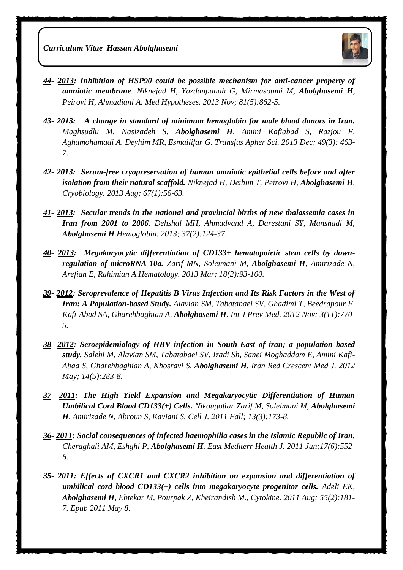

- *44- 2013: [Inhibition of HSP90 could be possible mechanism for anti-cancer property of](http://www.ncbi.nlm.nih.gov/pubmed/24054818)  [amniotic membrane](http://www.ncbi.nlm.nih.gov/pubmed/24054818). Niknejad H, Yazdanpanah G, Mirmasoumi M, Abolghasemi H, Peirovi H, Ahmadiani A. Med Hypotheses. 2013 Nov; 81(5):862-5.*
- *43- 2013: [A change in standard of minimum hemoglobin for male blood donors in Iran.](http://www.ncbi.nlm.nih.gov/pubmed/23768688) Maghsudlu M, Nasizadeh S, Abolghasemi H, Amini Kafiabad S, Razjou F, Aghamohamadi A, Deyhim MR, Esmailifar G. Transfus Apher Sci. 2013 Dec; 49(3): 463- 7.*
- *42- 2013: [Serum-free cryopreservation of human amniotic epithelial cells before and after](http://www.ncbi.nlm.nih.gov/pubmed/23685252)  [isolation from their natural scaffold.](http://www.ncbi.nlm.nih.gov/pubmed/23685252) Niknejad H, Deihim T, Peirovi H, Abolghasemi H. Cryobiology. 2013 Aug; 67(1):56-63.*
- *41- 2013: [Secular trends in the national and provincial births of new thalassemia cases in](http://www.ncbi.nlm.nih.gov/pubmed/23470148)  [Iran from 2001 to 2006.](http://www.ncbi.nlm.nih.gov/pubmed/23470148) Dehshal MH, Ahmadvand A, Darestani SY, Manshadi M, Abolghasemi H.Hemoglobin. 2013; 37(2):124-37.*
- *40- 2013: [Megakaryocytic differentiation of CD133+ hematopoietic stem cells by down](http://www.ncbi.nlm.nih.gov/pubmed/23321646)[regulation of microRNA-10a.](http://www.ncbi.nlm.nih.gov/pubmed/23321646) Zarif MN, Soleimani M, Abolghasemi H, Amirizade N, Arefian E, Rahimian A.Hematology. 2013 Mar; 18(2):93-100.*
- *39- 2012: [Seroprevalence of Hepatitis B Virus Infection and Its Risk Factors in the West of](http://www.ncbi.nlm.nih.gov/pubmed/23189228)  [Iran: A Population-based Study.](http://www.ncbi.nlm.nih.gov/pubmed/23189228) Alavian SM, Tabatabaei SV, Ghadimi T, Beedrapour F, Kafi-Abad SA, Gharehbaghian A, Abolghasemi H. Int J Prev Med. 2012 Nov; 3(11):770- 5.*
- *38- 2012: [Seroepidemiology of HBV infection in South-East of iran; a population based](http://www.ncbi.nlm.nih.gov/pubmed/22829987)  [study.](http://www.ncbi.nlm.nih.gov/pubmed/22829987) Salehi M, Alavian SM, Tabatabaei SV, Izadi Sh, Sanei Moghaddam E, Amini Kafi-Abad S, Gharehbaghian A, Khosravi S, Abolghasemi H. Iran Red Crescent Med J. 2012 May; 14(5):283-8.*
- *37- 2011: [The High Yield Expansion and Megakaryocytic Differentiation of Human](http://www.ncbi.nlm.nih.gov/pubmed/23508472)  [Umbilical Cord Blood CD133\(+\) Cells.](http://www.ncbi.nlm.nih.gov/pubmed/23508472) Nikougoftar Zarif M, Soleimani M, Abolghasemi H, Amirizade N, Abroun S, Kaviani S. Cell J. 2011 Fall; 13(3):173-8.*
- *36- 2011: [Social consequences of infected haemophilia cases in the Islamic Republic of Iran.](http://www.ncbi.nlm.nih.gov/pubmed/21796975) Cheraghali AM, Eshghi P, Abolghasemi H. East Mediterr Health J. 2011 Jun;17(6):552- 6.*
- *35- 2011: [Effects of CXCR1 and CXCR2 inhibition on expansion and differentiation of](http://www.ncbi.nlm.nih.gov/pubmed/21555225)  [umbilical cord blood CD133\(+\) cells into megakaryocyte progenitor cells.](http://www.ncbi.nlm.nih.gov/pubmed/21555225) Adeli EK, Abolghasemi H, Ebtekar M, Pourpak Z, Kheirandish M., Cytokine. 2011 Aug; 55(2):181- 7. Epub 2011 May 8.*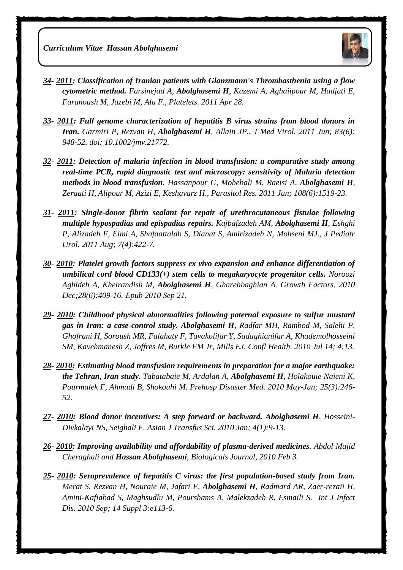

- *34- 2011: [Classification of Iranian patients with Glanzmann's Thrombasthenia using a flow](http://www.ncbi.nlm.nih.gov/pubmed/21526886)  [cytometric method.](http://www.ncbi.nlm.nih.gov/pubmed/21526886) Farsinejad A, Abolghasemi H, Kazemi A, Aghaiipour M, Hadjati E, Faranoush M, Jazebi M, Ala F., Platelets. 2011 Apr 28.*
- *33- 2011: [Full genome characterization of hepatitis B virus strains from blood donors in](http://www.ncbi.nlm.nih.gov/pubmed/21503905)  [Iran.](http://www.ncbi.nlm.nih.gov/pubmed/21503905) Garmiri P, Rezvan H, Abolghasemi H, Allain JP., J Med Virol. 2011 Jun; 83(6): 948-52. doi: 10.1002/jmv.21772.*
- *32- 2011: [Detection of malaria infection in blood transfusion: a comparative study among](http://www.ncbi.nlm.nih.gov/pubmed/21221645)  [real-time PCR, rapid diagnostic test and microscopy: sensitivity of Malaria detection](http://www.ncbi.nlm.nih.gov/pubmed/21221645)  [methods in blood transfusion.](http://www.ncbi.nlm.nih.gov/pubmed/21221645) Hassanpour G, Mohebali M, Raeisi A, Abolghasemi H, Zeraati H, Alipour M, Azizi E, Keshavarz H., Parasitol Res. 2011 Jun; 108(6):1519-23.*
- *31- 2011: [Single-donor fibrin sealant for repair of urethrocutaneous fistulae following](http://www.ncbi.nlm.nih.gov/pubmed/20634140)  [multiple hypospadias and epispadias repairs.](http://www.ncbi.nlm.nih.gov/pubmed/20634140) Kajbafzadeh AM, Abolghasemi H, Eshghi P, Alizadeh F, Elmi A, Shafaattalab S, Dianat S, Amirizadeh N, Mohseni MJ., J Pediatr Urol. 2011 Aug; 7(4):422-7.*
- *30- 2010: [Platelet growth factors suppress ex vivo expansion and enhance differentiation of](http://www.ncbi.nlm.nih.gov/pubmed/20854188)  [umbilical cord blood CD133\(+\) stem cells to megakaryocyte progenitor cells.](http://www.ncbi.nlm.nih.gov/pubmed/20854188) Noroozi Aghideh A, Kheirandish M, Abolghasemi H, Gharehbaghian A. Growth Factors. 2010 Dec;28(6):409-16. Epub 2010 Sep 21.*
- *29- 2010: [Childhood physical abnormalities following paternal exposure to sulfur mustard](http://www.ncbi.nlm.nih.gov/pubmed/20630096)  [gas in Iran: a case-control study.](http://www.ncbi.nlm.nih.gov/pubmed/20630096) Abolghasemi H, Radfar MH, Rambod M, Salehi P, Ghofrani H, Soroush MR, Falahaty F, Tavakolifar Y, Sadaghianifar A, Khademolhosseini SM, Kavehmanesh Z, Joffres M, Burkle FM Jr, Mills EJ. Confl Health. 2010 Jul 14; 4:13.*
- *28- 2010: [Estimating blood transfusion requirements in preparation for a major earthquake:](http://www.ncbi.nlm.nih.gov/pubmed/20586006)  [the Tehran, Iran study.](http://www.ncbi.nlm.nih.gov/pubmed/20586006) Tabatabaie M, Ardalan A, Abolghasemi H, Holakouie Naieni K, Pourmalek F, Ahmadi B, Shokouhi M. Prehosp Disaster Med. 2010 May-Jun; 25(3):246- 52.*
- *27- 2010: [Blood donor incentives: A step forward or backward.](http://www.ncbi.nlm.nih.gov/pubmed/20376260) Abolghasemi H, Hosseini-Divkalayi NS, Seighali F. Asian J Transfus Sci. 2010 Jan; 4(1):9-13.*
- *26- 2010: Improving availability and affordability of plasma-derived medicines. Abdol Majid Cheraghali and Hassan Abolghasemi, Biologicals Journal, 2010 Feb 3.*
- *25- 2010: [Seroprevalence of hepatitis C virus: the first population-based study from Iran.](http://www.ncbi.nlm.nih.gov/pubmed/20362479) Merat S, Rezvan H, Nouraie M, Jafari E, Abolghasemi H, Radmard AR, Zaer-rezaii H, Amini-Kafiabad S, Maghsudlu M, Pourshams A, Malekzadeh R, Esmaili S. Int J Infect Dis. 2010 Sep; 14 Suppl 3:e113-6.*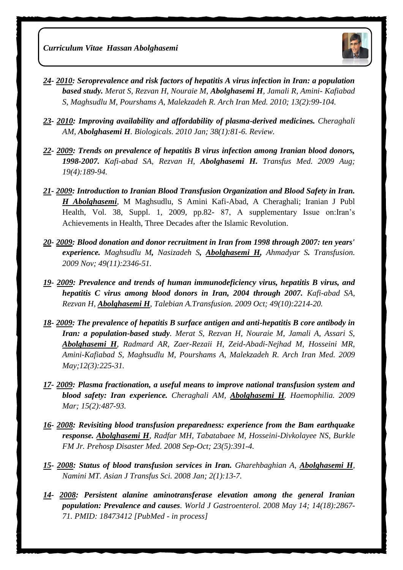

- *24- 2010: [Seroprevalence and risk factors of hepatitis A virus infection in Iran: a population](http://www.ncbi.nlm.nih.gov/pubmed/20187662)  [based study.](http://www.ncbi.nlm.nih.gov/pubmed/20187662) Merat S, Rezvan H, Nouraie M, Abolghasemi H, Jamali R, Amini- Kafiabad S, Maghsudlu M, Pourshams A, Malekzadeh R. Arch Iran Med. 2010; 13(2):99-104.*
- *23- 2010: [Improving availability and affordability of plasma-derived medicines.](http://www.ncbi.nlm.nih.gov/pubmed/20137973) Cheraghali AM, Abolghasemi H. Biologicals. 2010 Jan; 38(1):81-6. Review.*
- *22- 2009: Trends on prevalence of hepatitis B virus infection among Iranian blood donors, 1998-2007. [Kafi-abad SA,](http://www.ncbi.nlm.nih.gov/pubmed?term=%22Kafi-abad%20SA%22%5BAuthor%5D&itool=EntrezSystem2.PEntrez.Pubmed.Pubmed_ResultsPanel.Pubmed_RVAbstract) [Rezvan H,](http://www.ncbi.nlm.nih.gov/pubmed?term=%22Rezvan%20H%22%5BAuthor%5D&itool=EntrezSystem2.PEntrez.Pubmed.Pubmed_ResultsPanel.Pubmed_RVAbstract) [Abolghasemi H.](http://www.ncbi.nlm.nih.gov/pubmed?term=%22Abolghasemi%20H%22%5BAuthor%5D&itool=EntrezSystem2.PEntrez.Pubmed.Pubmed_ResultsPanel.Pubmed_RVAbstract) Transfus Med. 2009 Aug; 19(4):189-94.*
- *21- 2009: Introduction to Iranian Blood Transfusion Organization and Blood Safety in Iran. H Abolghasemi,* M Maghsudlu, S Amini Kafi-Abad, A Cheraghali; Iranian J Publ Health, Vol. 38, Suppl. 1, 2009, pp.82- 87, A supplementary Issue on:Iran's Achievements in Health, Three Decades after the Islamic Revolution.
- *20- 2009: Blood donation and donor recruitment in Iran from 1998 through 2007: ten years' experience. [Maghsudlu M](http://www.ncbi.nlm.nih.gov/pubmed?term=%22Maghsudlu%20M%22%5BAuthor%5D&itool=EntrezSystem2.PEntrez.Pubmed.Pubmed_ResultsPanel.Pubmed_RVAbstract), [Nasizadeh S](http://www.ncbi.nlm.nih.gov/pubmed?term=%22Nasizadeh%20S%22%5BAuthor%5D&itool=EntrezSystem2.PEntrez.Pubmed.Pubmed_ResultsPanel.Pubmed_RVAbstract), [Abolghasemi H,](http://www.ncbi.nlm.nih.gov/pubmed?term=%22Abolghasemi%20H%22%5BAuthor%5D&itool=EntrezSystem2.PEntrez.Pubmed.Pubmed_ResultsPanel.Pubmed_RVAbstract) [Ahmadyar S](http://www.ncbi.nlm.nih.gov/pubmed?term=%22Ahmadyar%20S%22%5BAuthor%5D&itool=EntrezSystem2.PEntrez.Pubmed.Pubmed_ResultsPanel.Pubmed_RVAbstract). Transfusion. 2009 Nov; 49(11):2346-51.*
- *19- 2009: [Prevalence and trends of human immunodeficiency virus, hepatitis B virus, and](http://www.ncbi.nlm.nih.gov/pubmed/19527477?itool=EntrezSystem2.PEntrez.Pubmed.Pubmed_ResultsPanel.Pubmed_RVDocSum&ordinalpos=4)  [hepatitis C virus among blood donors in Iran, 2004 through 2007.](http://www.ncbi.nlm.nih.gov/pubmed/19527477?itool=EntrezSystem2.PEntrez.Pubmed.Pubmed_ResultsPanel.Pubmed_RVDocSum&ordinalpos=4) Kafi-abad SA, Rezvan H, Abolghasemi H, Talebian A.Transfusion. 2009 Oct; 49(10):2214-20.*
- *18- 2009: [The prevalence of hepatitis B surface antigen and anti-hepatitis B core antibody in](http://www.ncbi.nlm.nih.gov/pubmed/19400598?itool=EntrezSystem2.PEntrez.Pubmed.Pubmed_ResultsPanel.Pubmed_RVDocSum&ordinalpos=5)  [Iran: a population-based study](http://www.ncbi.nlm.nih.gov/pubmed/19400598?itool=EntrezSystem2.PEntrez.Pubmed.Pubmed_ResultsPanel.Pubmed_RVDocSum&ordinalpos=5). Merat S, Rezvan H, Nouraie M, Jamali A, Assari S, Abolghasemi H, Radmard AR, Zaer-Rezaii H, Zeid-Abadi-Nejhad M, Hosseini MR, Amini-Kafiabad S, Maghsudlu M, Pourshams A, Malekzadeh R. Arch Iran Med. 2009 May;12(3):225-31.*
- *17- 2009: [Plasma fractionation, a useful means to improve national transfusion system and](http://www.ncbi.nlm.nih.gov/pubmed/19347989?itool=EntrezSystem2.PEntrez.Pubmed.Pubmed_ResultsPanel.Pubmed_RVDocSum&ordinalpos=6)  [blood safety: Iran experience.](http://www.ncbi.nlm.nih.gov/pubmed/19347989?itool=EntrezSystem2.PEntrez.Pubmed.Pubmed_ResultsPanel.Pubmed_RVDocSum&ordinalpos=6) Cheraghali AM, Abolghasemi H. Haemophilia. 2009 Mar; 15(2):487-93.*
- *16- 2008: [Revisiting blood transfusion preparedness: experience from the Bam earthquake](http://www.ncbi.nlm.nih.gov/pubmed/19189607?itool=EntrezSystem2.PEntrez.Pubmed.Pubmed_ResultsPanel.Pubmed_RVDocSum&ordinalpos=7)  [response.](http://www.ncbi.nlm.nih.gov/pubmed/19189607?itool=EntrezSystem2.PEntrez.Pubmed.Pubmed_ResultsPanel.Pubmed_RVDocSum&ordinalpos=7) Abolghasemi H, Radfar MH, Tabatabaee M, Hosseini-Divkolayee NS, Burkle FM Jr. Prehosp Disaster Med. 2008 Sep-Oct; 23(5):391-4.*
- *15- 2008: [Status of blood transfusion services in Iran.](http://www.ncbi.nlm.nih.gov/pubmed/20041072?itool=EntrezSystem2.PEntrez.Pubmed.Pubmed_ResultsPanel.Pubmed_RVDocSum&ordinalpos=10) Gharehbaghian A, Abolghasemi H, Namini MT. Asian J Transfus Sci. 2008 Jan; 2(1):13-7.*
- *14- 2008: Persistent alanine aminotransferase elevation among the general Iranian population: Prevalence and causes. World J Gastroenterol. 2008 May 14; 14(18):2867- 71. PMID: 18473412 [PubMed - in process]*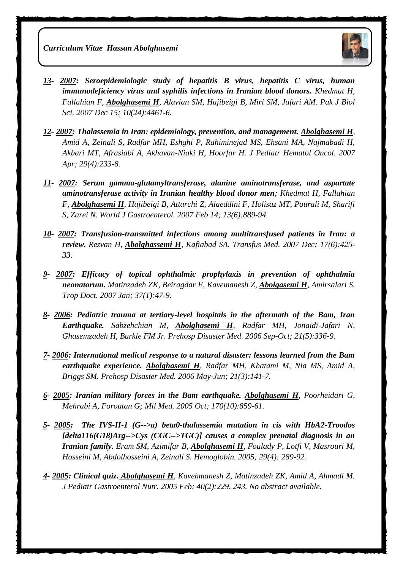

- *13- 2007: [Seroepidemiologic study of hepatitis B virus, hepatitis C virus, human](http://www.ncbi.nlm.nih.gov/pubmed/19093512?itool=EntrezSystem2.PEntrez.Pubmed.Pubmed_ResultsPanel.Pubmed_RVDocSum&ordinalpos=8)  [immunodeficiency virus and syphilis infections in Iranian blood donors.](http://www.ncbi.nlm.nih.gov/pubmed/19093512?itool=EntrezSystem2.PEntrez.Pubmed.Pubmed_ResultsPanel.Pubmed_RVDocSum&ordinalpos=8) Khedmat H, Fallahian F, Abolghasemi H, Alavian SM, Hajibeigi B, Miri SM, Jafari AM. Pak J Biol Sci. 2007 Dec 15; 10(24):4461-6.*
- *12- 2007: Thalassemia in Iran: epidemiology, prevention, and management. Abolghasemi H, Amid A, Zeinali S, Radfar MH, Eshghi P, Rahiminejad MS, Ehsani MA, Najmabadi H, Akbari MT, Afrasiabi A, Akhavan-Niaki H, Hoorfar H. J Pediatr Hematol Oncol. 2007 Apr; 29(4):233-8.*
- *11- 2007: Serum gamma-glutamyltransferase, alanine aminotransferase, and aspartate aminotransferase activity in Iranian healthy blood donor men; Khedmat H, Fallahian F, Abolghasemi H, Hajibeigi B, Attarchi Z, Alaeddini F, Holisaz MT, Pourali M, Sharifi S, Zarei N. World J Gastroenterol. 2007 Feb 14; 13(6):889-94*
- *10- 2007: Transfusion-transmitted infections among multitransfused patients in Iran: a review. [Rezvan H,](http://www.ncbi.nlm.nih.gov/pubmed?term=Rezvan%20H%5BAuthor%5D&cauthor=true&cauthor_uid=18067646) [Abolghassemi H](http://www.ncbi.nlm.nih.gov/pubmed?term=Abolghassemi%20H%5BAuthor%5D&cauthor=true&cauthor_uid=18067646), [Kafiabad SA.](http://www.ncbi.nlm.nih.gov/pubmed?term=Kafiabad%20SA%5BAuthor%5D&cauthor=true&cauthor_uid=18067646) [Transfus Med.](http://www.ncbi.nlm.nih.gov/pubmed/?term=Transfusion-transmitted+infections+among+multitransfused+patients+in+Iran%3A+a+review) 2007 Dec; 17(6):425- 33.*
- *9- 2007: [Efficacy of topical ophthalmic prophylaxis in prevention of ophthalmia](http://www.ncbi.nlm.nih.gov/pubmed/17326893)  [neonatorum.](http://www.ncbi.nlm.nih.gov/pubmed/17326893) Matinzadeh ZK, Beiragdar F, Kavemanesh Z, Abolgasemi H, Amirsalari S. Trop Doct. 2007 Jan; 37(1):47-9.*
- *8- 2006: [Pediatric trauma at tertiary-level hospitals in the aftermath of the Bam, Iran](http://www.ncbi.nlm.nih.gov/pubmed/17297904)  [Earthquake.](http://www.ncbi.nlm.nih.gov/pubmed/17297904) Sabzehchian M, Abolghasemi H, Radfar MH, Jonaidi-Jafari N, Ghasemzadeh H, Burkle FM Jr. Prehosp Disaster Med. 2006 Sep-Oct; 21(5):336-9.*
- *7- 2006: [International medical response to a natural disaster: lessons learned from the Bam](http://www.ncbi.nlm.nih.gov/pubmed/16892878)  [earthquake experience.](http://www.ncbi.nlm.nih.gov/pubmed/16892878) Abolghasemi H, Radfar MH, Khatami M, Nia MS, Amid A, Briggs SM. Prehosp Disaster Med. 2006 May-Jun; 21(3):141-7.*
- *6- 2005: [Iranian military forces in the Bam earthquake.](http://www.ncbi.nlm.nih.gov/pubmed/16435759) Abolghasemi H, Poorheidari G, Mehrabi A, Foroutan G; Mil Med. 2005 Oct; 170(10):859-61.*
- *5- 2005: [The IVS-II-1 \(G-->a\) beta0-thalassemia mutation in cis with HbA2-Troodos](http://www.ncbi.nlm.nih.gov/pubmed/16370491)  [\[delta116\(G18\)Arg-->Cys \(CGC-->TGC\)\] causes a complex prenatal diagnosis in an](http://www.ncbi.nlm.nih.gov/pubmed/16370491)  [Iranian family.](http://www.ncbi.nlm.nih.gov/pubmed/16370491) Eram SM, Azimifar B, Abolghasemi H, Foulady P, Lotfi V, Masrouri M, Hosseini M, Abdolhosseini A, Zeinali S. Hemoglobin. 2005; 29(4): 289-92.*
- *4- 2005: [Clinical quiz.](http://www.ncbi.nlm.nih.gov/pubmed/15711419) Abolghasemi H, Kavehmanesh Z, Matinzadeh ZK, Amid A, Ahmadi M. J Pediatr Gastroenterol Nutr. 2005 Feb; 40(2):229, 243. No abstract available.*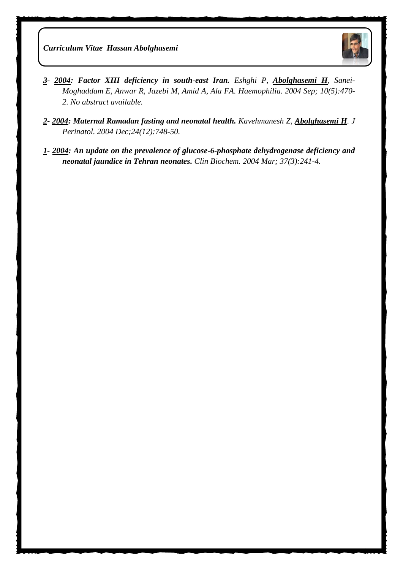

- *3- 2004: [Factor XIII deficiency in south-east Iran.](http://www.ncbi.nlm.nih.gov/pubmed/15357772) Eshghi P, Abolghasemi H, Sanei-Moghaddam E, Anwar R, Jazebi M, Amid A, Ala FA. Haemophilia. 2004 Sep; 10(5):470- 2. No abstract available.*
- *2- 2004: [Maternal Ramadan fasting and neonatal health.](http://www.ncbi.nlm.nih.gov/pubmed/15343350) Kavehmanesh Z, Abolghasemi H. J Perinatol. 2004 Dec;24(12):748-50.*
- *1- 2004: An update on the prevalence of glucose-6-phosphate dehydrogenase deficiency and neonatal jaundice in Tehran neonates. Clin Biochem. 2004 Mar; 37(3):241-4.*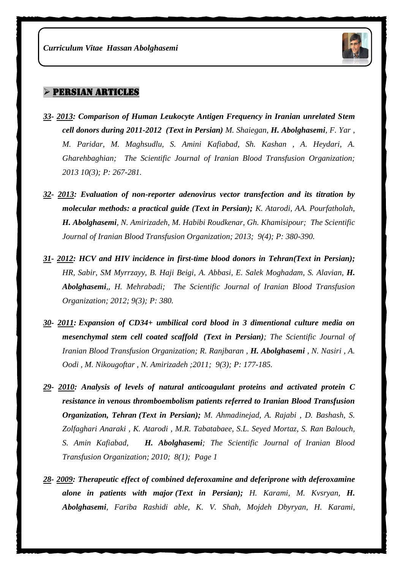

#### $>$  PERSIAN ARTICLES

- *33- 2013: Comparison of Human Leukocyte Antigen Frequency in Iranian unrelated Stem cell donors during 2011-2012 (Text in Persian) M. Shaiegan, H. Abolghasemi, F. Yar , M. Paridar, M. Maghsudlu, S. Amini Kafiabad, Sh. Kashan , A. Heydari, A. Gharehbaghian; The Scientific Journal of Iranian Blood Transfusion Organization; 2013 10(3); P: 267-281.*
- *32- 2013: Evaluation of non-reporter adenovirus vector transfection and its titration by molecular methods: a practical guide (Text in Persian); K. Atarodi, AA. Pourfatholah, H. Abolghasemi, N. Amirizadeh, M. Habibi Roudkenar, Gh. Khamisipour; The Scientific Journal of Iranian Blood Transfusion Organization; 2013; 9(4); P: 380-390.*
- *31- 2012: HCV and HIV incidence in first-time blood donors in Tehran(Text in Persian); HR, Sabir, SM Myrrzayy, B. Haji Beigi, A. Abbasi, E. Salek Moghadam, S. Alavian, H. Abolghasemi,, H. Mehrabadi; The Scientific Journal of Iranian Blood Transfusion Organization; 2012; 9(3); P: 380.*
- *30- 2011: Expansion of CD34+ umbilical cord blood in 3 dimentional culture media on mesenchymal stem cell coated scaffold (Text in Persian); The Scientific Journal of Iranian Blood Transfusion Organization; R. Ranjbaran, H. Abolghasemi, N. Nasiri, A. Oodi , M. Nikougoftar , N. Amirizadeh ;2011; 9(3); P: 177-185.*
- *29- 2010: Analysis of levels of natural anticoagulant proteins and activated protein C resistance in venous thromboembolism patients referred to Iranian Blood Transfusion Organization, Tehran (Text in Persian); M. Ahmadinejad, A. Rajabi , D. Bashash, S. Zolfaghari Anaraki , K. Atarodi , M.R. Tabatabaee, S.L. Seyed Mortaz, S. Ran Balouch, S. Amin Kafiabad, H. Abolghasemi; The Scientific Journal of Iranian Blood Transfusion Organization; 2010; 8(1); Page 1*
- *28- 2009: Therapeutic effect of combined deferoxamine and deferiprone with deferoxamine alone in patients with major (Text in Persian); H. Karami, M. Kvsryan, H. Abolghasemi, Fariba Rashidi able, K. V. Shah, Mojdeh Dbyryan, H. Karami,*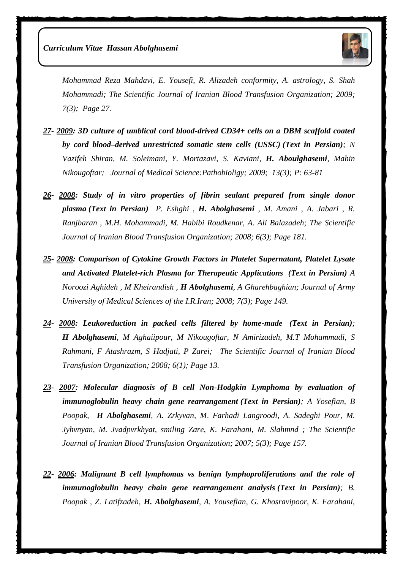

*Mohammad Reza Mahdavi, E. Yousefi, R. Alizadeh conformity, A. astrology, S. Shah Mohammadi; The Scientific Journal of Iranian Blood Transfusion Organization; 2009; 7(3); Page 27.*

- *27- 2009: 3D culture of umblical cord blood-drived CD34+ cells on a DBM scaffold coated by cord blood–derived unrestricted somatic stem cells (USSC) (Text in Persian); N Vazifeh Shiran, M. Soleimani, Y. Mortazavi, S. Kaviani, H. Aboulghasemi, Mahin Nikougoftar; Journal of Medical Science:Pathobioligy; 2009; 13(3); P: 63-81*
- *26- 2008: Study of in vitro properties of fibrin sealant prepared from single donor plasma (Text in Persian) P. Eshghi , H. Abolghasemi , M. Amani , A. Jabari , R. Ranjbaran , M.H. Mohammadi, M. Habibi Roudkenar, A. Ali Balazadeh; The Scientific Journal of Iranian Blood Transfusion Organization; 2008; 6(3); Page 181.*
- *25- 2008: Comparison of Cytokine Growth Factors in Platelet Supernatant, Platelet Lysate and Activated Platelet-rich Plasma for Therapeutic Applications (Text in Persian) A Noroozi Aghideh , M Kheirandish , H Abolghasemi, A Gharehbaghian; Journal of Army University of Medical Sciences of the I.R.Iran; 2008; 7(3); Page 149.*
- *24- 2008: Leukoreduction in packed cells filtered by home-made (Text in Persian); H Abolghasemi, M Aghaiipour, M Nikougoftar, N Amirizadeh, M.T Mohammadi, S Rahmani, F Atashrazm, S Hadjati, P Zarei; The Scientific Journal of Iranian Blood Transfusion Organization; 2008; 6(1); Page 13.*
- *23- 2007: Molecular diagnosis of B cell Non-Hodgkin Lymphoma by evaluation of immunoglobulin heavy chain gene rearrangement (Text in Persian); A Yosefian, B Poopak, H Abolghasemi, A. Zrkyvan, M*. *Farhadi Langroodi, A. Sadeghi Pour, M. Jyhvnyan, M. Jvadpvrkhyat, smiling Zare, K. Farahani, M. Slahmnd ; The Scientific Journal of Iranian Blood Transfusion Organization; 2007; 5(3); Page 157.*
- *22- 2006: Malignant B cell lymphomas vs benign lymphoproliferations and the role of immunoglobulin heavy chain gene rearrangement analysis (Text in Persian); B. Poopak , Z. Latifzadeh, H. Abolghasemi, A. Yousefian, G. Khosravipoor, K. Farahani,*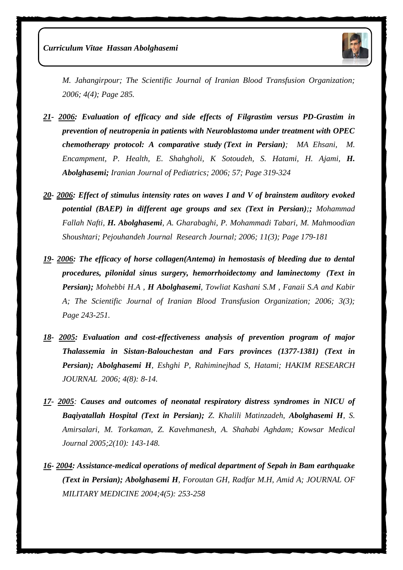

*M. Jahangirpour; The Scientific Journal of Iranian Blood Transfusion Organization; 2006; 4(4); Page 285.*

- *21- 2006: Evaluation of efficacy and side effects of Filgrastim versus PD-Grastim in prevention of neutropenia in patients with Neuroblastoma under treatment with OPEC chemotherapy protocol: A comparative study (Text in Persian); MA Ehsani, M. Encampment, P. Health, E. Shahgholi, K Sotoudeh, S. Hatami, H. Ajami, H. Abolghasemi; Iranian Journal of Pediatrics; 2006; 57; Page 319-324*
- *20- 2006: Effect of stimulus intensity rates on waves I and V of brainstem auditory evoked potential (BAEP) in different age groups and sex (Text in Persian);; Mohammad Fallah Nafti, H. Abolghasemi, A. Gharabaghi, P. Mohammadi Tabari, M. Mahmoodian Shoushtari; Pejouhandeh Journal Research Journal; 2006; 11(3); Page 179-181*
- *19- 2006: The efficacy of horse collagen(Antema) in hemostasis of bleeding due to dental procedures, pilonidal sinus surgery, hemorrhoidectomy and laminectomy (Text in Persian); Mohebbi H.A , H Abolghasemi, Towliat Kashani S.M , Fanaii S.A and Kabir A; The Scientific Journal of Iranian Blood Transfusion Organization; 2006; 3(3); Page 243-251.*
- *18- 2005: Evaluation and cost-effectiveness analysis of prevention program of major Thalassemia in Sistan-Balouchestan and Fars provinces (1377-1381) (Text in Persian); Abolghasemi H, Eshghi P, Rahiminejhad S, Hatami; HAKIM RESEARCH JOURNAL 2006; 4(8): 8-14.*
- *17- 2005: Causes and outcomes of neonatal respiratory distress syndromes in NICU of Baqiyatallah Hospital (Text in Persian); Z. Khalili Matinzadeh, Abolghasemi H, S. Amirsalari, M. Torkaman, Z. Kavehmanesh, A. Shahabi Aghdam; Kowsar Medical Journal 2005;2(10): 143-148.*
- *16- 2004: Assistance-medical operations of medical department of Sepah in Bam earthquake (Text in Persian); [Abolghasemi H](http://www.militarymedj.ir/search.php?slc_lang=en&sid=1&auth=Abolghasemi+H.), [Foroutan GH,](http://www.militarymedj.ir/search.php?slc_lang=en&sid=1&auth=Foroutan+GH.) [Radfar M.H,](http://www.militarymedj.ir/search.php?slc_lang=en&sid=1&auth=Radfar+M.+H.) [Amid A;](http://www.militarymedj.ir/search.php?slc_lang=en&sid=1&auth=Amid+A.) JOURNAL OF MILITARY MEDICINE 2004;4(5): 253-258*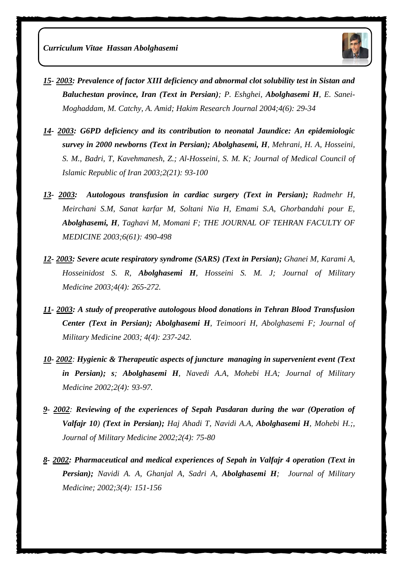

- *15- 2003: Prevalence of factor XIII deficiency and abnormal clot solubility test in Sistan and Baluchestan province, Iran (Text in Persian); P. Eshghei, Abolghasemi H, E. Sanei-Moghaddam, M. Catchy, A. Amid; Hakim Research Journal 2004;4(6): 29-34*
- *14- 2003: G6PD deficiency and its contribution to neonatal Jaundice: An epidemiologic survey in 2000 newborns (Text in Persian); [Abolghasemi, H](http://www.cabdirect.org/search.html?q=au%3A%22Abolghasemi%2C+H.%22), [Mehrani, H. A,](http://www.cabdirect.org/search.html?q=au%3A%22Mehrani%2C+H.+A.%22) [Hosseini,](http://www.cabdirect.org/search.html?q=au%3A%22Hosseini%2C+S.+M.%22)  [S. M.,](http://www.cabdirect.org/search.html?q=au%3A%22Hosseini%2C+S.+M.%22) [Badri, T,](http://www.cabdirect.org/search.html?q=au%3A%22Badri%2C+T.%22) [Kavehmanesh, Z.;](http://www.cabdirect.org/search.html?q=au%3A%22Kavehmanesh%2C+Z.%22) [Al-Hosseini, S. M. K; J](http://www.cabdirect.org/search.html?q=au%3A%22Al-Hosseini%2C+S.+M.+K.%22)ournal of Medical Council of Islamic Republic of Iran 2003;2(21): 93-100*
- *13- 2003: Autologous transfusion in cardiac surgery (Text in Persian); Radmehr H, Meirchani S.M, Sanat karfar M, Soltani Nia H, Emami S.A, Ghorbandahi pour E, [Abolghasemi, H](http://www.cabdirect.org/search.html?q=au%3A%22Abolghasemi%2C+H.%22), Taghavi M, Momani F; THE JOURNAL OF TEHRAN FACULTY OF MEDICINE 2003;6(61): 490-498*
- *12- 2003: Severe acute respiratory syndrome (SARS) (Text in Persian); [Ghanei M,](http://www.militarymedj.ir/search.php?slc_lang=en&sid=1&auth=Ghanei+M.) [Karami A,](http://www.militarymedj.ir/search.php?slc_lang=en&sid=1&auth=Karami+A.) [Hosseinidost S. R,](http://www.militarymedj.ir/search.php?slc_lang=en&sid=1&auth=Hosseinidost+S.+R.) [Abolghasemi H](http://www.militarymedj.ir/search.php?slc_lang=en&sid=1&auth=Abolghasemi+H.), [Hosseini S. M. J;](http://www.militarymedj.ir/search.php?slc_lang=en&sid=1&auth=Hosseini+S.+M.+J.) Journal of Military Medicine 2003;4(4): 265-272.*
- *11- 2003: A study of preoperative autologous blood donations in Tehran Blood Transfusion Center (Text in Persian); [Abolghasemi H](http://www.militarymedj.ir/search.php?slc_lang=en&sid=1&auth=Abolghasemi+H.), [Teimoori H,](http://www.militarymedj.ir/search.php?slc_lang=en&sid=1&auth=Teimoori+H.) [Abolghasemi F;](http://www.militarymedj.ir/search.php?slc_lang=en&sid=1&auth=Abolghasemi+F.) Journal of Military Medicine 2003; 4(4): 237-242.*
- *10- 2002: Hygienic & Therapeutic aspects of juncture managing in supervenient event (Text in Persian); s; [Abolghasemi H](http://www.militarymedj.ir/search.php?slc_lang=en&sid=1&auth=Abolghasemi+H.), Navedi A.A, [Mohebi H.A;](http://www.militarymedj.ir/search.php?slc_lang=en&sid=1&auth=Abolghasemi+F.) Journal of Military Medicine 2002;2(4): 93-97.*
- *9- 2002: Reviewing of the experiences of Sepah Pasdaran during the war (Operation of Valfajr 10) (Text in Persian); Haj Ahadi T, [Navidi A.A,](http://militarymedj.ir/search.php?slc_lang=en&sid=1&auth=Navidi+A.+A.) [Abolghasemi H](http://militarymedj.ir/search.php?slc_lang=en&sid=1&auth=Abolghasemi+H.), Mohebi H.;, Journal of Military Medicine 2002;2(4): 75-80*
- *8- 2002: Pharmaceutical and medical experiences of Sepah in Valfajr 4 operation (Text in Persian); [Navidi A. A,](http://militarymedj.ir/search.php?slc_lang=en&sid=1&auth=Navidi+A.+A.) [Ghanjal A,](http://militarymedj.ir/search.php?slc_lang=en&sid=1&auth=Ghanjal+A.) [Sadri A,](http://militarymedj.ir/search.php?slc_lang=en&sid=1&auth=Sadri+A.) [Abolghasemi H](http://militarymedj.ir/search.php?slc_lang=en&sid=1&auth=Abolghasemi+H.); Journal of Military Medicine; 2002;3(4): 151-156*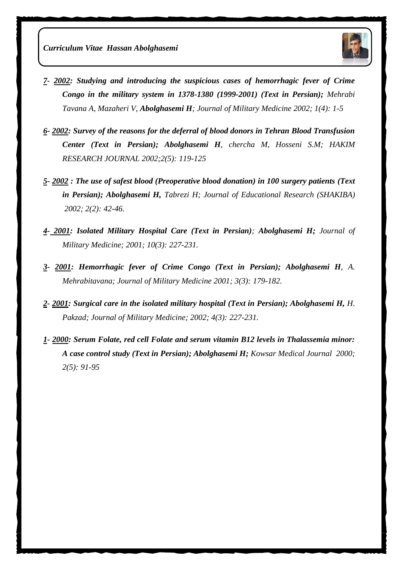

- *7- 2002: Studying and introducing the suspicious cases of hemorrhagic fever of Crime Congo in the military system in 1378-1380 (1999-2001) (Text in Persian); Mehrabi Tavana A, Mazaheri V, [Abolghasemi H](http://militarymedj.ir/search.php?slc_lang=en&sid=1&auth=Abolghasemi+H.); Journal of Military Medicine 2002; 1(4): 1-5*
- *6- 2002: Survey of the reasons for the deferral of blood donors in Tehran Blood Transfusion Center (Text in Persian); Abolghasemi H, chercha M, Hosseni S.[M; H](http://militarymedj.ir/search.php?slc_lang=en&sid=1&auth=Abolghasemi+H.)AKIM RESEARCH JOURNAL 2002;2(5): 119-125*
- *5- 2002 : The use of safest blood (Preoperative blood donation) in 100 surgery patients (Text in Persian); [Abolghasemi H,](http://militarymedj.ir/search.php?slc_lang=en&sid=1&auth=Abolghasemi+H.) Tabrezi H; Journal of Educational Research (SHAKIBA) 2002; 2(2): 42-46.*
- *4- 2001: Isolated Military Hospital Care (Text in Persian); Abolghasemi H; Journal of Military Medicine; 2001; 10(3): 227-231.*
- *3- 2001: Hemorrhagic fever of Crime Congo (Text in Persian); Abolghasemi H, A. Mehrabitavana; Journal of Military Medicine 2001; 3(3): 179-182.*
- *2- 2001: Surgical care in the isolated military hospital (Text in Persian); Abolghasemi H, H. Pakzad; Journal of Military Medicine; 2002; 4(3): 227-231.*
- *1- 2000: Serum Folate, red cell Folate and serum vitamin B12 levels in Thalassemia minor: A case control study (Text in Persian); Abolghasemi H; Kowsar Medical Journal 2000; 2(5): 91-95*